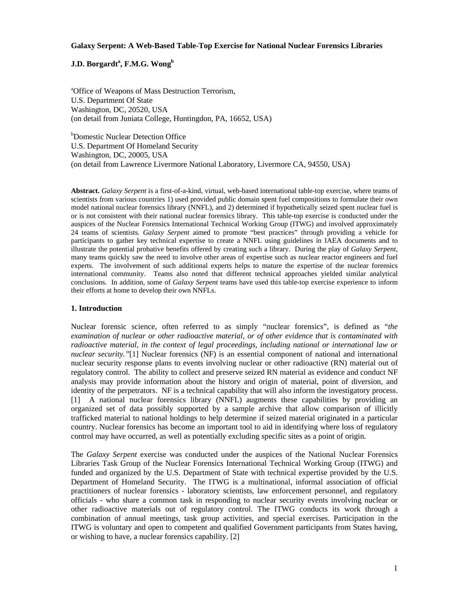### **Galaxy Serpent: A Web-Based Table-Top Exercise for National Nuclear Forensics Libraries**

# $\mathbf{J}.\mathbf{D}.\ \mathbf{B}$ orgardt $\mathbf{a}^\mathrm{a},\mathbf{F}.\mathbf{M}.\mathbf{G}.\ \mathbf{W}\mathbf{ong}^\mathrm{b}$

<sup>a</sup> Office of Weapons of Mass Destruction Terrorism, U.S. Department Of State Washington, DC, 20520, USA (on detail from Juniata College, Huntingdon, PA, 16652, USA)

b Domestic Nuclear Detection Office U.S. Department Of Homeland Security Washington, DC, 20005, USA (on detail from Lawrence Livermore National Laboratory, Livermore CA, 94550, USA)

**Abstract.** *Galaxy Serpent* is a first-of-a-kind, virtual, web-based international table-top exercise, where teams of scientists from various countries 1) used provided public domain spent fuel compositions to formulate their own model national nuclear forensics library (NNFL), and 2) determined if hypothetically seized spent nuclear fuel is or is not consistent with their national nuclear forensics library. This table-top exercise is conducted under the auspices of the Nuclear Forensics International Technical Working Group (ITWG) and involved approximately 24 teams of scientists. *Galaxy Serpent* aimed to promote "best practices" through providing a vehicle for participants to gather key technical expertise to create a NNFL using guidelines in IAEA documents and to illustrate the potential probative benefits offered by creating such a library. During the play of *Galaxy Serpent*, many teams quickly saw the need to involve other areas of expertise such as nuclear reactor engineers and fuel experts. The involvement of such additional experts helps to mature the expertise of the nuclear forensics international community. Teams also noted that different technical approaches yielded similar analytical conclusions. In addition, some of *Galaxy Serpent* teams have used this table-top exercise experience to inform their efforts at home to develop their own NNFLs.

# **1. Introduction**

Nuclear forensic science, often referred to as simply "nuclear forensics", is defined as "*the examination of nuclear or other radioactive material, or of other evidence that is contaminated with radioactive material, in the context of legal proceedings, including national or international law or nuclear security."*[1] Nuclear forensics (NF) is an essential component of national and international nuclear security response plans to events involving nuclear or other radioactive (RN) material out of regulatory control. The ability to collect and preserve seized RN material as evidence and conduct NF analysis may provide information about the history and origin of material, point of diversion, and identity of the perpetrators. NF is a technical capability that will also inform the investigatory process. [1] A national nuclear forensics library (NNFL) augments these capabilities by providing an organized set of data possibly supported by a sample archive that allow comparison of illicitly trafficked material to national holdings to help determine if seized material originated in a particular country. Nuclear forensics has become an important tool to aid in identifying where loss of regulatory control may have occurred, as well as potentially excluding specific sites as a point of origin.

The *Galaxy Serpent* exercise was conducted under the auspices of the National Nuclear Forensics Libraries Task Group of the Nuclear Forensics International Technical Working Group (ITWG) and funded and organized by the U.S. Department of State with technical expertise provided by the U.S. Department of Homeland Security. The ITWG is a multinational, informal association of official practitioners of nuclear forensics - laboratory scientists, law enforcement personnel, and regulatory officials - who share a common task in responding to nuclear security events involving nuclear or other radioactive materials out of regulatory control. The ITWG conducts its work through a combination of annual meetings, task group activities, and special exercises. Participation in the ITWG is voluntary and open to competent and qualified Government participants from States having, or wishing to have, a nuclear forensics capability. [2]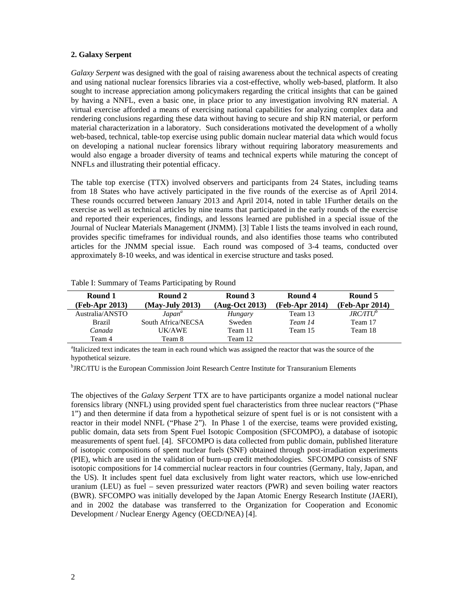# **2. Galaxy Serpent**

*Galaxy Serpent* was designed with the goal of raising awareness about the technical aspects of creating and using national nuclear forensics libraries via a cost-effective, wholly web-based, platform. It also sought to increase appreciation among policymakers regarding the critical insights that can be gained by having a NNFL, even a basic one, in place prior to any investigation involving RN material. A virtual exercise afforded a means of exercising national capabilities for analyzing complex data and rendering conclusions regarding these data without having to secure and ship RN material, or perform material characterization in a laboratory. Such considerations motivated the development of a wholly web-based, technical, table-top exercise using public domain nuclear material data which would focus on developing a national nuclear forensics library without requiring laboratory measurements and would also engage a broader diversity of teams and technical experts while maturing the concept of NNFLs and illustrating their potential efficacy.

The table top exercise (TTX) involved observers and participants from 24 States, including teams from 18 States who have actively participated in the five rounds of the exercise as of April 2014. These rounds occurred between January 2013 and April 2014, noted in table 1Further details on the exercise as well as technical articles by nine teams that participated in the early rounds of the exercise and reported their experiences, findings, and lessons learned are published in a special issue of the Journal of Nuclear Materials Management (JNMM). [3] Table I lists the teams involved in each round, provides specific timeframes for individual rounds, and also identifies those teams who contributed articles for the JNMM special issue. Each round was composed of 3-4 teams, conducted over approximately 8-10 weeks, and was identical in exercise structure and tasks posed.

| Round 1         | Round 2            | Round 3        | Round 4          | Round 5        |
|-----------------|--------------------|----------------|------------------|----------------|
| (Feb-Apr 2013)  | (May-July 2013)    | (Aug-Oct 2013) | $(Feb-Apr 2014)$ | (Feb-Apr 2014) |
| Australia/ANSTO | Japan <sup>a</sup> | Hungary        | Team 13          | $JRC/ITU^b$    |
| <b>Brazil</b>   | South Africa/NECSA | Sweden         | Team 14          | Team 17        |
| Canada          | UK/AWE             | Team 11        | Team 15          | Team 18        |
| Team 4          | Team 8             | Team 12        |                  |                |

Table I: Summary of Teams Participating by Round

<sup>a</sup>Italicized text indicates the team in each round which was assigned the reactor that was the source of the hypothetical seizure.

<sup>b</sup>JRC/ITU is the European Commission Joint Research Centre Institute for Transuranium Elements

The objectives of the *Galaxy Serpent* TTX are to have participants organize a model national nuclear forensics library (NNFL) using provided spent fuel characteristics from three nuclear reactors ("Phase 1") and then determine if data from a hypothetical seizure of spent fuel is or is not consistent with a reactor in their model NNFL ("Phase 2"). In Phase 1 of the exercise, teams were provided existing, public domain, data sets from Spent Fuel Isotopic Composition (SFCOMPO), a database of isotopic measurements of spent fuel. [4]. SFCOMPO is data collected from public domain, published literature of isotopic compositions of spent nuclear fuels (SNF) obtained through post-irradiation experiments (PIE), which are used in the validation of burn-up credit methodologies. SFCOMPO consists of SNF isotopic compositions for 14 commercial nuclear reactors in four countries (Germany, Italy, Japan, and the US). It includes spent fuel data exclusively from light water reactors, which use low-enriched uranium (LEU) as fuel – seven pressurized water reactors (PWR) and seven boiling water reactors (BWR). SFCOMPO was initially developed by the Japan Atomic Energy Research Institute (JAERI), and in 2002 the database was transferred to the Organization for Cooperation and Economic Development / Nuclear Energy Agency (OECD/NEA) [4].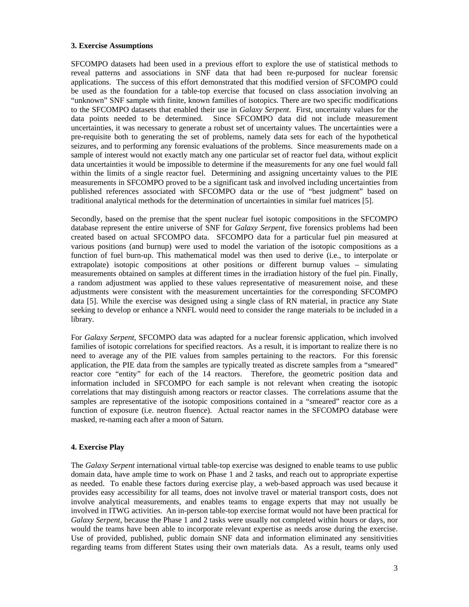## **3. Exercise Assumptions**

SFCOMPO datasets had been used in a previous effort to explore the use of statistical methods to reveal patterns and associations in SNF data that had been re-purposed for nuclear forensic applications. The success of this effort demonstrated that this modified version of SFCOMPO could be used as the foundation for a table-top exercise that focused on class association involving an "unknown" SNF sample with finite, known families of isotopics. There are two specific modifications to the SFCOMPO datasets that enabled their use in *Galaxy Serpent*. First, uncertainty values for the data points needed to be determined. Since SFCOMPO data did not include measurement uncertainties, it was necessary to generate a robust set of uncertainty values. The uncertainties were a pre-requisite both to generating the set of problems, namely data sets for each of the hypothetical seizures, and to performing any forensic evaluations of the problems. Since measurements made on a sample of interest would not exactly match any one particular set of reactor fuel data, without explicit data uncertainties it would be impossible to determine if the measurements for any one fuel would fall within the limits of a single reactor fuel. Determining and assigning uncertainty values to the PIE measurements in SFCOMPO proved to be a significant task and involved including uncertainties from published references associated with SFCOMPO data or the use of "best judgment" based on traditional analytical methods for the determination of uncertainties in similar fuel matrices [5].

Secondly, based on the premise that the spent nuclear fuel isotopic compositions in the SFCOMPO database represent the entire universe of SNF for *Galaxy Serpent*, five forensics problems had been created based on actual SFCOMPO data. SFCOMPO data for a particular fuel pin measured at various positions (and burnup) were used to model the variation of the isotopic compositions as a function of fuel burn-up. This mathematical model was then used to derive (i.e., to interpolate or extrapolate) isotopic compositions at other positions or different burnup values – simulating measurements obtained on samples at different times in the irradiation history of the fuel pin. Finally, a random adjustment was applied to these values representative of measurement noise, and these adjustments were consistent with the measurement uncertainties for the corresponding SFCOMPO data [5]. While the exercise was designed using a single class of RN material, in practice any State seeking to develop or enhance a NNFL would need to consider the range materials to be included in a library.

For *Galaxy Serpent*, SFCOMPO data was adapted for a nuclear forensic application, which involved families of isotopic correlations for specified reactors. As a result, it is important to realize there is no need to average any of the PIE values from samples pertaining to the reactors. For this forensic application, the PIE data from the samples are typically treated as discrete samples from a "smeared" reactor core "entity" for each of the 14 reactors. Therefore, the geometric position data and information included in SFCOMPO for each sample is not relevant when creating the isotopic correlations that may distinguish among reactors or reactor classes. The correlations assume that the samples are representative of the isotopic compositions contained in a "smeared" reactor core as a function of exposure (i.e. neutron fluence). Actual reactor names in the SFCOMPO database were masked, re-naming each after a moon of Saturn.

# **4. Exercise Play**

The *Galaxy Serpent* international virtual table-top exercise was designed to enable teams to use public domain data, have ample time to work on Phase 1 and 2 tasks, and reach out to appropriate expertise as needed. To enable these factors during exercise play, a web-based approach was used because it provides easy accessibility for all teams, does not involve travel or material transport costs, does not involve analytical measurements, and enables teams to engage experts that may not usually be involved in ITWG activities. An in-person table-top exercise format would not have been practical for *Galaxy Serpent*, because the Phase 1 and 2 tasks were usually not completed within hours or days, nor would the teams have been able to incorporate relevant expertise as needs arose during the exercise. Use of provided, published, public domain SNF data and information eliminated any sensitivities regarding teams from different States using their own materials data. As a result, teams only used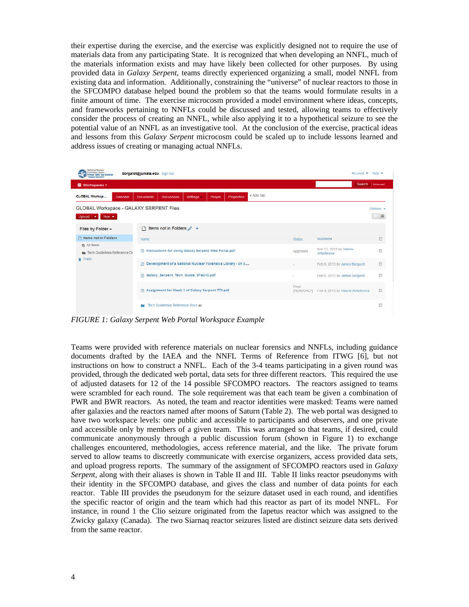their expertise during the exercise, and the exercise was explicitly designed not to require the use of materials data from any participating State. It is recognized that when developing an NNFL, much of the materials information exists and may have likely been collected for other purposes. By using provided data in *Galaxy Serpent*, teams directly experienced organizing a small, model NNFL from existing data and information. Additionally, constraining the "universe" of nuclear reactors to those in the SFCOMPO database helped bound the problem so that the teams would formulate results in a finite amount of time. The exercise microcosm provided a model environment where ideas, concepts, and frameworks pertaining to NNFLs could be discussed and tested, allowing teams to effectively consider the process of creating an NNFL, while also applying it to a hypothetical seizure to see the potential value of an NNFL as an investigative tool. At the conclusion of the exercise, practical ideas and lessons from this *Galaxy Serpent* microcosm could be scaled up to include lessons learned and address issues of creating or managing actual NNFLs.

| <b>National Nuclear</b><br>Forensics Library<br>Account $\star$ Help $\star$<br>borgardt@juniata.edu Sign Out<br><b>Virtual Table Top Exercise</b><br>Galaxy Sarnant* |                                                                                    |                     |                                        |          |
|-----------------------------------------------------------------------------------------------------------------------------------------------------------------------|------------------------------------------------------------------------------------|---------------------|----------------------------------------|----------|
| 圖 Workspaces -                                                                                                                                                        |                                                                                    |                     | Search                                 | Advanced |
| <b>GLOBAL Worksp</b><br>Calendar                                                                                                                                      | + Add Tab<br>Properties<br>Settings -<br>Documents<br><b>Discussions</b><br>People |                     |                                        |          |
| GLOBAL Workspace - GALAXY SERPENT Files<br>Options $\blacktriangleright$<br>這<br>Upload $\overline{\mathbf{v}}$ New $\overline{\mathbf{v}}$                           |                                                                                    |                     |                                        |          |
| Files by Folder +                                                                                                                                                     | Items not in Folders $\mathscr{I}$ $\star$<br>n                                    |                     |                                        |          |
| □ Items not in Folders                                                                                                                                                | Name                                                                               | <b>Status</b>       | Modified                               | ▥        |
| <b>【h</b> All Items<br>Tech Guidelines Reference Do                                                                                                                   | 四 Instructions for Using Galaxy Serpent Web Portal.pdf                             |                     | Mar 13, 2013 by Valerie<br>Antsiferova | m        |
| <b>Trash</b>                                                                                                                                                          | 四 Development of a National Nuclear Forensics Library - ch 5                       |                     | Feb 8, 2013 by James Borgardt          | 画        |
|                                                                                                                                                                       | Galaxy Serpent Tech Guide 5Feb13.pdf<br>四                                          |                     | Feb 6, 2013 by James Borgardt          | m        |
|                                                                                                                                                                       | Assignment for Week 1 of Galaxy Serpent TTX.pdf                                    | Final<br>[READONLY] | Feb 4, 2013 by Valerie Antsiferova     | E        |
|                                                                                                                                                                       | Tech Guidelines Reference Docs (4)                                                 |                     |                                        | m        |

*FIGURE 1: Galaxy Serpent Web Portal Workspace Example* 

Teams were provided with reference materials on nuclear forensics and NNFLs, including guidance documents drafted by the IAEA and the NNFL Terms of Reference from ITWG [6], but not instructions on how to construct a NNFL. Each of the 3-4 teams participating in a given round was provided, through the dedicated web portal, data sets for three different reactors. This required the use of adjusted datasets for 12 of the 14 possible SFCOMPO reactors. The reactors assigned to teams were scrambled for each round. The sole requirement was that each team be given a combination of PWR and BWR reactors. As noted, the team and reactor identities were masked: Teams were named after galaxies and the reactors named after moons of Saturn (Table 2). The web portal was designed to have two workspace levels: one public and accessible to participants and observers, and one private and accessible only by members of a given team. This was arranged so that teams, if desired, could communicate anonymously through a public discussion forum (shown in Figure 1) to exchange challenges encountered, methodologies, access reference material, and the like. The private forum served to allow teams to discreetly communicate with exercise organizers, access provided data sets, and upload progress reports. The summary of the assignment of SFCOMPO reactors used in *Galaxy Serpent,* along with their aliases is shown in Table II and III. Table II links reactor pseudonyms with their identity in the SFCOMPO database, and gives the class and number of data points for each reactor. Table III provides the pseudonym for the seizure dataset used in each round, and identifies the specific reactor of origin and the team which had this reactor as part of its model NNFL. For instance, in round 1 the Clio seizure originated from the Iapetus reactor which was assigned to the Zwicky galaxy (Canada). The two Siarnaq reactor seizures listed are distinct seizure data sets derived from the same reactor.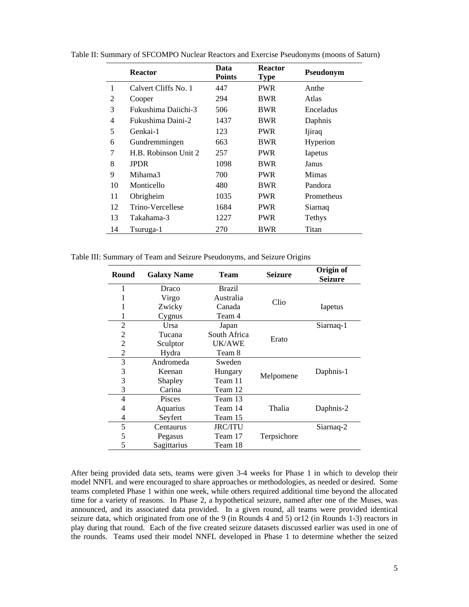|    | <b>Reactor</b>       | Data<br><b>Points</b> | <b>Reactor</b><br><b>Type</b> | Pseudonym    |
|----|----------------------|-----------------------|-------------------------------|--------------|
| 1  | Calvert Cliffs No. 1 | 447                   | <b>PWR</b>                    | Anthe        |
| 2  | Cooper               | 294                   | BWR                           | Atlas        |
| 3  | Fukushima Daiichi-3  | 506                   | BWR                           | Enceladus    |
| 4  | Fukushima Daini-2    | 1437                  | BWR                           | Daphnis      |
| 5  | Genkai-1             | 123                   | PWR                           | Ijiraq       |
| 6  | Gundremmingen        | 663                   | BWR                           | Hyperion     |
| 7  | H.B. Robinson Unit 2 | 257                   | <b>PWR</b>                    | Iapetus      |
| 8  | <b>JPDR</b>          | 1098                  | BWR                           | Janus        |
| 9  | Mihama3              | 700                   | <b>PWR</b>                    | <b>Mimas</b> |
| 10 | Monticello           | 480                   | <b>BWR</b>                    | Pandora      |
| 11 | Obrigheim            | 1035                  | PWR                           | Prometheus   |
| 12 | Trino-Vercellese     | 1684                  | PWR                           | Siarnaq      |
| 13 | Takahama-3           | 1227                  | <b>PWR</b>                    | Tethys       |
| 14 | Tsuruga-1            | 270                   | BWR                           | Titan        |

Table II: Summary of SFCOMPO Nuclear Reactors and Exercise Pseudonyms (moons of Saturn)

Table III: Summary of Team and Seizure Pseudonyms, and Seizure Origins

| Round          | <b>Galaxy Name</b> | <b>Team</b>    | <b>Seizure</b> | Origin of<br><b>Seizure</b> |
|----------------|--------------------|----------------|----------------|-----------------------------|
| 1              | Draco              | Brazil         |                |                             |
| 1              | Virgo              | Australia      | Clio           |                             |
|                | Zwicky             | Canada         |                | Iapetus                     |
|                | Cygnus             | Team 4         |                |                             |
| $\overline{c}$ | Ursa               | Japan          |                | Siarnaq-1                   |
| 2              | Tucana             | South Africa   | Erato          |                             |
| $\overline{2}$ | Sculptor           | UK/AWE         |                |                             |
| 2              | Hydra              | Team 8         |                |                             |
| 3              | Andromeda          | Sweden         |                |                             |
| 3              | Keenan             | Hungary        | Melpomene      | Daphnis-1                   |
| 3              | Shapley            | Team 11        |                |                             |
| 3              | Carina             | Team 12        |                |                             |
| 4              | <b>Pisces</b>      | Team 13        |                |                             |
| 4              | Aquarius           | Team 14        | Thalia         | Daphnis-2                   |
| 4              | Seyfert            | Team 15        |                |                             |
| 5              | Centaurus          | <b>JRC/ITU</b> |                | Siarnaq-2                   |
| 5              | Pegasus            | Team 17        | Terpsichore    |                             |
| 5              | Sagittarius        | Team 18        |                |                             |

After being provided data sets, teams were given 3-4 weeks for Phase 1 in which to develop their model NNFL and were encouraged to share approaches or methodologies, as needed or desired. Some teams completed Phase 1 within one week, while others required additional time beyond the allocated time for a variety of reasons. In Phase 2, a hypothetical seizure, named after one of the Muses, was announced, and its associated data provided. In a given round, all teams were provided identical seizure data, which originated from one of the 9 (in Rounds 4 and 5) or12 (in Rounds 1-3) reactors in play during that round. Each of the five created seizure datasets discussed earlier was used in one of the rounds. Teams used their model NNFL developed in Phase 1 to determine whether the seized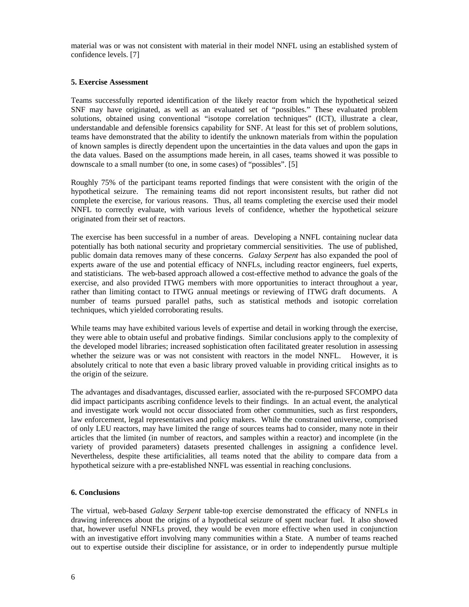material was or was not consistent with material in their model NNFL using an established system of confidence levels. [7]

## **5. Exercise Assessment**

Teams successfully reported identification of the likely reactor from which the hypothetical seized SNF may have originated, as well as an evaluated set of "possibles." These evaluated problem solutions, obtained using conventional "isotope correlation techniques" (ICT), illustrate a clear, understandable and defensible forensics capability for SNF. At least for this set of problem solutions, teams have demonstrated that the ability to identify the unknown materials from within the population of known samples is directly dependent upon the uncertainties in the data values and upon the gaps in the data values. Based on the assumptions made herein, in all cases, teams showed it was possible to downscale to a small number (to one, in some cases) of "possibles". [5]

Roughly 75% of the participant teams reported findings that were consistent with the origin of the hypothetical seizure. The remaining teams did not report inconsistent results, but rather did not complete the exercise, for various reasons. Thus, all teams completing the exercise used their model NNFL to correctly evaluate, with various levels of confidence, whether the hypothetical seizure originated from their set of reactors.

The exercise has been successful in a number of areas. Developing a NNFL containing nuclear data potentially has both national security and proprietary commercial sensitivities. The use of published, public domain data removes many of these concerns. *Galaxy Serpent* has also expanded the pool of experts aware of the use and potential efficacy of NNFLs, including reactor engineers, fuel experts, and statisticians. The web-based approach allowed a cost-effective method to advance the goals of the exercise, and also provided ITWG members with more opportunities to interact throughout a year, rather than limiting contact to ITWG annual meetings or reviewing of ITWG draft documents. A number of teams pursued parallel paths, such as statistical methods and isotopic correlation techniques, which yielded corroborating results.

While teams may have exhibited various levels of expertise and detail in working through the exercise, they were able to obtain useful and probative findings. Similar conclusions apply to the complexity of the developed model libraries; increased sophistication often facilitated greater resolution in assessing whether the seizure was or was not consistent with reactors in the model NNFL. However, it is absolutely critical to note that even a basic library proved valuable in providing critical insights as to the origin of the seizure.

The advantages and disadvantages, discussed earlier, associated with the re-purposed SFCOMPO data did impact participants ascribing confidence levels to their findings. In an actual event, the analytical and investigate work would not occur dissociated from other communities, such as first responders, law enforcement, legal representatives and policy makers. While the constrained universe, comprised of only LEU reactors, may have limited the range of sources teams had to consider, many note in their articles that the limited (in number of reactors, and samples within a reactor) and incomplete (in the variety of provided parameters) datasets presented challenges in assigning a confidence level. Nevertheless, despite these artificialities, all teams noted that the ability to compare data from a hypothetical seizure with a pre-established NNFL was essential in reaching conclusions.

### **6. Conclusions**

The virtual, web-based *Galaxy Serpent* table-top exercise demonstrated the efficacy of NNFLs in drawing inferences about the origins of a hypothetical seizure of spent nuclear fuel. It also showed that, however useful NNFLs proved, they would be even more effective when used in conjunction with an investigative effort involving many communities within a State. A number of teams reached out to expertise outside their discipline for assistance, or in order to independently pursue multiple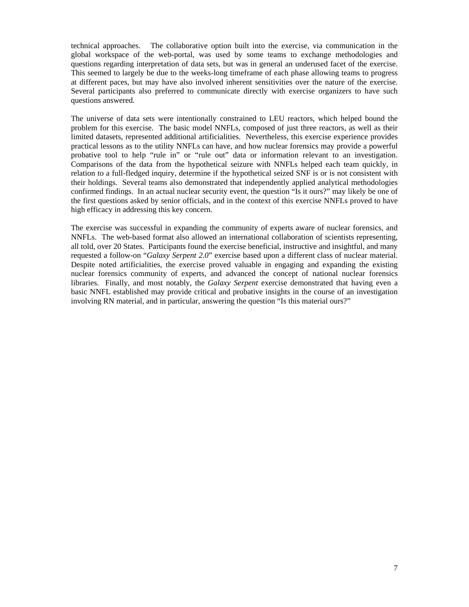technical approaches. The collaborative option built into the exercise, via communication in the global workspace of the web-portal, was used by some teams to exchange methodologies and questions regarding interpretation of data sets, but was in general an underused facet of the exercise. This seemed to largely be due to the weeks-long timeframe of each phase allowing teams to progress at different paces, but may have also involved inherent sensitivities over the nature of the exercise. Several participants also preferred to communicate directly with exercise organizers to have such questions answered.

The universe of data sets were intentionally constrained to LEU reactors, which helped bound the problem for this exercise. The basic model NNFLs, composed of just three reactors, as well as their limited datasets, represented additional artificialities. Nevertheless, this exercise experience provides practical lessons as to the utility NNFLs can have, and how nuclear forensics may provide a powerful probative tool to help "rule in" or "rule out" data or information relevant to an investigation. Comparisons of the data from the hypothetical seizure with NNFLs helped each team quickly, in relation to a full-fledged inquiry, determine if the hypothetical seized SNF is or is not consistent with their holdings. Several teams also demonstrated that independently applied analytical methodologies confirmed findings. In an actual nuclear security event, the question "Is it ours?" may likely be one of the first questions asked by senior officials, and in the context of this exercise NNFLs proved to have high efficacy in addressing this key concern.

The exercise was successful in expanding the community of experts aware of nuclear forensics, and NNFLs. The web-based format also allowed an international collaboration of scientists representing, all told, over 20 States. Participants found the exercise beneficial, instructive and insightful, and many requested a follow-on "*Galaxy Serpent 2.0*" exercise based upon a different class of nuclear material. Despite noted artificialities, the exercise proved valuable in engaging and expanding the existing nuclear forensics community of experts, and advanced the concept of national nuclear forensics libraries. Finally, and most notably, the *Galaxy Serpent* exercise demonstrated that having even a basic NNFL established may provide critical and probative insights in the course of an investigation involving RN material, and in particular, answering the question "Is this material ours?"